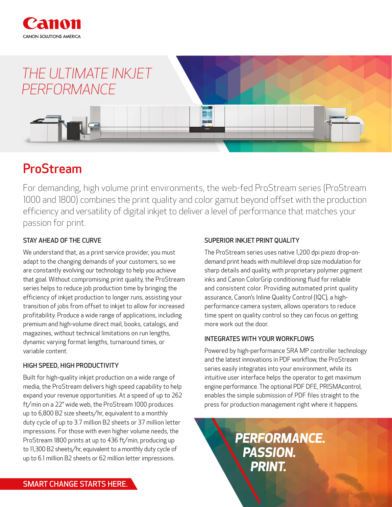

# *THE ULTIMATE INKJET PERFORMANCE*

# ProStream

For demanding, high volume print environments, the web-fed ProStream series (ProStream 1000 and 1800) combines the print quality and color gamut beyond offset with the production efficiency and versatility of digital inkjet to deliver a level of performance that matches your passion for print.

## STAY AHEAD OF THE CURVE

We understand that, as a print service provider, you must adapt to the changing demands of your customers, so we are constantly evolving our technology to help you achieve that goal. Without compromising print quality, the ProStream series helps to reduce job production time by bringing the efficiency of inkjet production to longer runs, assisting your transition of jobs from offset to inkjet to allow for increased profitability. Produce a wide range of applications, including premium and high-volume direct mail, books, catalogs, and magazines, without technical limitations on run lengths, dynamic varying format lengths, turnaround times, or variable content.

#### HIGH SPEED, HIGH PRODUCTIVITY

Built for high-quality inkjet production on a wide range of media, the ProStream delivers high speed capability to help expand your revenue opportunities. At a speed of up to 262 ft/min on a 22" wide web, the ProStream 1000 produces up to 6,800 B2 size sheets/hr, equivalent to a monthly duty cycle of up to 3.7 million B2 sheets or 37 million letter impressions. For those with even higher volume needs, the ProStream 1800 prints at up to 436 ft/min, producing up to 11,300 B2 sheets/hr, equivalent to a monthly duty cycle of up to 6.1 million B2 sheets or 62 million letter impressions.

### SUPERIOR INKJET PRINT QUALITY

The ProStream series uses native 1,200 dpi piezo drop-ondemand print heads with multilevel drop size modulation for sharp details and quality, with proprietary polymer pigment inks and Canon ColorGrip conditioning fluid for reliable and consistent color. Providing automated print quality assurance, Canon's Inline Quality Control (IQC), a highperformance camera system, allows operators to reduce time spent on quality control so they can focus on getting more work out the door.

#### INTEGRATES WITH YOUR WORKFLOWS

Powered by high-performance SRA MP controller technology and the latest innovations in PDF workflow, the ProStream series easily integrates into your environment, while its intuitive user interface helps the operator to get maximum engine performance. The optional PDF DFE, PRISMAcontrol, enables the simple submission of PDF files straight to the press for production management right where it happens.

> *PERFORMANCE. PASSION. PRINT.*